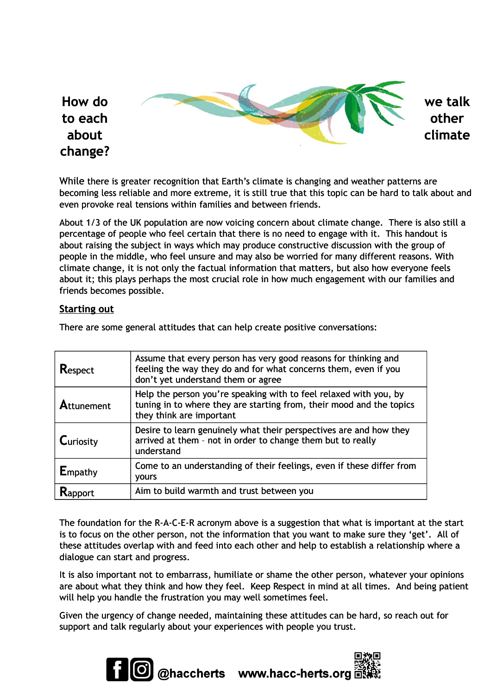## **How do we talk to each other about climate change?**

While there is greater recognition that Earth's climate is changing and weather patterns are becoming less reliable and more extreme, it is still true that this topic can be hard to talk about and even provoke real tensions within families and between friends.

About 1/3 of the UK population are now voicing concern about climate change. There is also still a percentage of people who feel certain that there is no need to engage with it. This handout is about raising the subject in ways which may produce constructive discussion with the group of people in the middle, who feel unsure and may also be worried for many different reasons. With climate change, it is not only the factual information that matters, but also how everyone feels about it; this plays perhaps the most crucial role in how much engagement with our families and friends becomes possible.

## **Starting out**

| <b>Respect</b>    | Assume that every person has very good reasons for thinking and<br>feeling the way they do and for what concerns them, even if you<br>don't yet understand them or agree |
|-------------------|--------------------------------------------------------------------------------------------------------------------------------------------------------------------------|
| <b>Attunement</b> | Help the person you're speaking with to feel relaxed with you, by<br>tuning in to where they are starting from, their mood and the topics<br>they think are important    |
| Curiosity         | Desire to learn genuinely what their perspectives are and how they<br>arrived at them - not in order to change them but to really<br>understand                          |
| Empathy           | Come to an understanding of their feelings, even if these differ from<br><b>YOULS</b>                                                                                    |
|                   | Aim to build warmth and trust between you                                                                                                                                |

There are some general attitudes that can help create positive conversations:

The foundation for the R-A-C-E-R acronym above is a suggestion that what is important at the start is to focus on the other person, not the information that you want to make sure they 'get'. All of these attitudes overlap with and feed into each other and help to establish a relationship where a dialogue can start and progress.

It is also important not to embarrass, humiliate or shame the other person, whatever your opinions are about what they think and how they feel. Keep Respect in mind at all times. And being patient will help you handle the frustration you may well sometimes feel.

Given the urgency of change needed, maintaining these attitudes can be hard, so reach out for support and talk regularly about your experiences with people you trust.

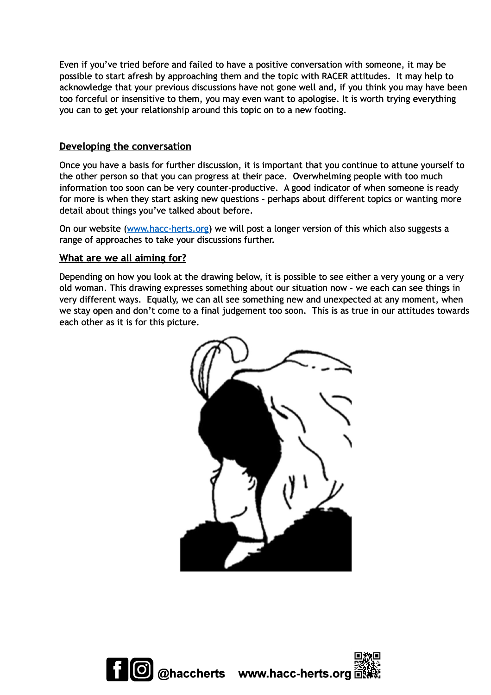Even if you've tried before and failed to have a positive conversation with someone, it may be possible to start afresh by approaching them and the topic with RACER attitudes. It may help to acknowledge that your previous discussions have not gone well and, if you think you may have been too forceful or insensitive to them, you may even want to apologise. It is worth trying everything you can to get your relationship around this topic on to a new footing.

## **Developing the conversation**

Once you have a basis for further discussion, it is important that you continue to attune yourself to the other person so that you can progress at their pace. Overwhelming people with too much information too soon can be very counter-productive. A good indicator of when someone is ready for more is when they start asking new questions – perhaps about different topics or wanting more detail about things you've talked about before.

On our website [\(www.hacc-herts.org\)](file:///C:%5CUsers%5CD1437781%5CAppData%5CLocal%5CMicrosoft%5CWindows%5CINetCache%5CContent.Outlook%5C2J39S5FZ%5Cwww.hacc-herts.org) we will post a longer version of this which also suggests a range of approaches to take your discussions further.

## **What are we all aiming for?**

Depending on how you look at the drawing below, it is possible to see either a very young or a very old woman. This drawing expresses something about our situation now – we each can see things in very different ways. Equally, we can all see something new and unexpected at any moment, when we stay open and don't come to a final judgement too soon. This is as true in our attitudes towards each other as it is for this picture.



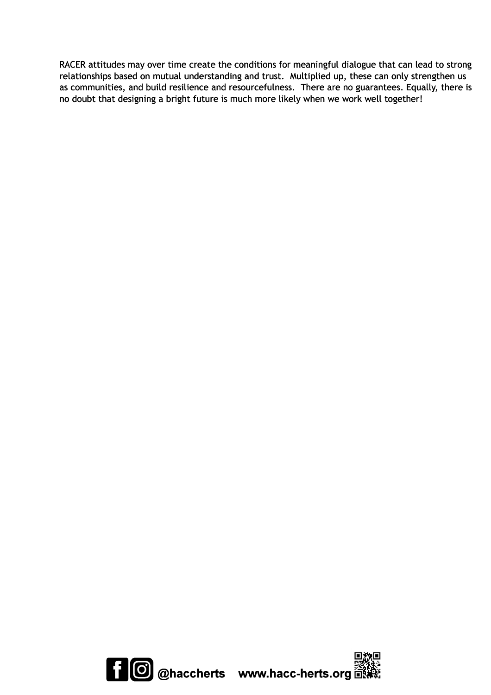RACER attitudes may over time create the conditions for meaningful dialogue that can lead to strong relationships based on mutual understanding and trust. Multiplied up, these can only strengthen us as communities, and build resilience and resourcefulness. There are no guarantees. Equally, there is no doubt that designing a bright future is much more likely when we work well together!